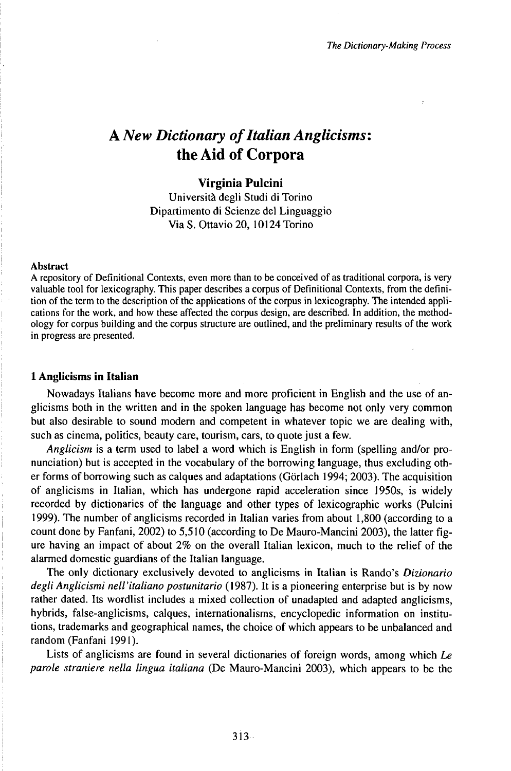# A *New Dictionary ofItalian Anglicisms:* the Aid of Corpora

## **Virginia Pulcini**

Università degli Studi di Torino Dipartimento di Scienze del Linguaggio Via S. Ottavio 20, 10124 Torino

#### Abstract

A repository of Definitional Contexts, even more than to be conceived of as traditional corpora, is very valuable tool for lexicography. This paper describes a corpus of Definitional Contexts, from the definition of the term to the description of the applications of the corpus in lexicography. The intended applications for the work, and how these affected the corpus design, are described. In addition, the methodology for corpus building and the corpus structure are outlined, and the preliminary results of the work in progress are presented.

#### **1 Anglicisms in Italian**

Nowadays Italians have become more and more proficient in English and the use of anglicisms both in the written and in the spoken language has become not only very common but also desirable to sound modern and competent in whatever topic we are dealing with, such as cinema, politics, beauty care, tourism, cars, to quote just a few.

*Anglicism* is a term used to label a word which is English in form (spelling and/or pronunciation) but is accepted in the vocabulary of the borrowing language, thus excluding other forms of borrowing such as calques and adaptations (Görlach 1994; 2003). The acquisition of anglicisms in Italian, which has undergone rapid acceleration since 1950s,is widely recorded by dictionaries of the language and other types of lexicographic works (Pulcini 1999). The number ofanglicisms recorded in Italian varies from about 1,800 (according to a count done by Fanfani, 2002) to 5,510 (according to De Mauro-Mancini 2003), the latter figure having an impact of about 2% on the overall Italian lexicon, much to the relief of the alarmed domestic guardians of the Italian language.

The only dictionary exclusively devoted to anglicisms in Italian is Rando's *Dizionario degli Anglicismi nell'italiano postunitario* (1987). It is a pioneering enterprise but is by now rather dated. Its wordlist includes a mixed collection of unadapted and adapted anglicisms, hybrids, false-anglicisms, calques, internationalisms, encyclopedic information on institutions, trademarks and geographical names, the choice of which appears to be unbalanced and random (Fanfani 1991).

Lists of anglicisms are found in several dictionaries of foreign words, among which *Le parole straniere nella lingua italiana* (De Mauro-Mancini 2003), which appears to be the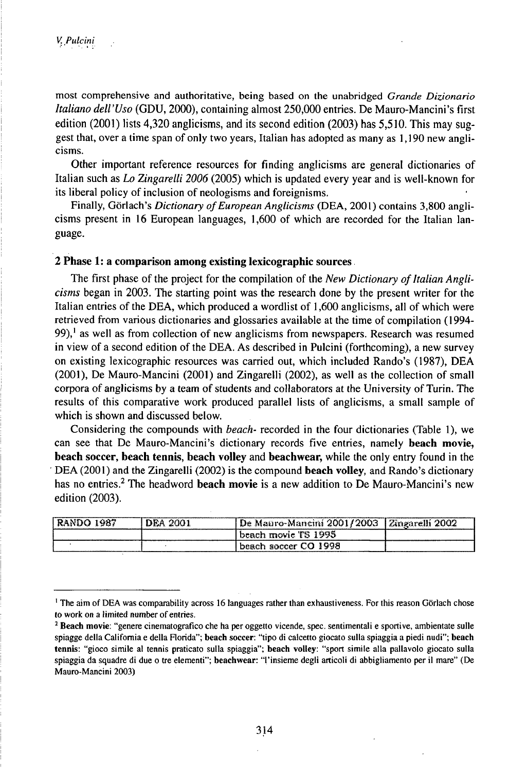most comprehensive and authoritative, being based on the unabridged *Grande Dizionario Italiano dell'Uso* (GDU, 2000), containing almost 250,000 entries. De Mauro-Mancini's first edition (2001) lists 4,320 anglicisms, and its second edition (2003) has 5,510. This may suggest that, over <sup>a</sup> time span of only two years, Italian has adopted as many as 1,190 new anglicisms.

Other important reference resources for finding anglicisms are general dictionaries of Italian such as *Lo Zingarelli 2006* (2005) which is updated every year and is well-known for its liberal policy of inclusion of neologisms and foreignisms.

Finally, Görlach's *Dictionary of European Anglicisms* (DEA, 2001) contains 3,800 anglicisms present in 16 European languages, 1,600 of which are recorded for the Italian language.

## **2 Phase 1: a comparison among existing lexicographic sources**

The first phase of the project for the compilation of the *New Dictionary of Italian Anglicisms* began in 2003. The starting point was the research done by the present writer for the Italian entries of the DEA, which produced a wordlist of 1,600 anglicisms, all of which were retrieved from various dictionaries and glossaries available at the time of compilation (1994-99),<sup>1</sup> as well as from collection of new anglicisms from newspapers. Research was resumed in view of a second edition of the DEA. As described in Pulcini (forthcoming), a new survey on existing lexicographic resources was carried out, which included Rando's (1987), DEA (2001), De Mauro-Mancini (2001) and Zingarelli (2002), as well as the collection of small corpora of anglicisms by a team of students and collaborators at the University ofTurin. The results of this comparative work produced parallel lists of anglicisms, a small sample of which is shown and discussed below.

Considering the compounds with *beach-* recorded in the four dictionaries (Table 1), we can see that De Mauro-Mancini's dictionary records five entries, namely **beach movie, beach soccer, beach tennis, beach volley** and **beachwear,** while the only entry found in the DEA (2001) and the Zingarelli (2002) is the compound **beach volley,** and Rando's dictionary has no entries.<sup>2</sup> The headword **beach movie** is a new addition to De Mauro-Mancini's new edition (2003).

|  | 2003<br>200<br>IJĕ<br>ancını<br>いせつ・ネイ | armen. |
|--|----------------------------------------|--------|
|  | l 995<br>beach movie TS                |        |
|  | 1998<br>soccer CO.<br>beach            |        |

<sup>&</sup>lt;sup>1</sup> The aim of DEA was comparability across 16 languages rather than exhaustiveness. For this reason Görlach chose to work on a limited number of entries.

<sup>2</sup> Beach movie: "genere cinematografico che ha per oggetto vicende, spec, sentimentali e sportive, ambientate sulle spiagge della California e della Florida"; beach soccer: "tipo di calcetto giocato sulla spiaggia a piedi nudi"; beach tennis: "gioco simile al tennis praticato sulla spiaggia"; beach volley: "sport simile alla pallavolo giocato sulla spiaggia da squadre di due o tre elementi"; beachwear: "l'insieme degli articoli di abbigliamento per il mare" (De Mauro-Mancini 2003)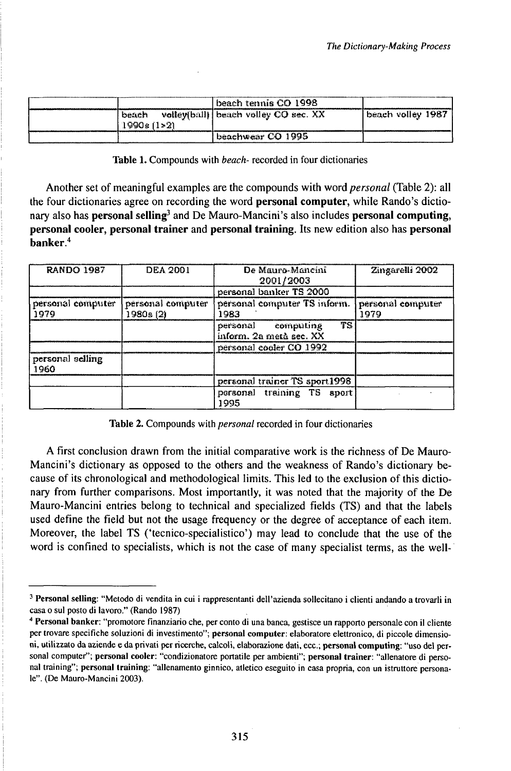|                      | beach tennis CO 1998                 |                    |
|----------------------|--------------------------------------|--------------------|
| beach<br>1990s (1>2) | volley(ball) beach volley CO sec. XX | beach volley 1987. |
|                      | 'beachwear CO 1995                   |                    |

Table 1. Compounds with *beach-* recorded in four dictionaries

Another set of meaningful examples are the compounds with word *personal* (Table 2): all the four dictionaries agree on recording the word **personal computer,** while Rando's dictionary also has **personal selling<sup>3</sup>** and De Mauro-Mancini's also includes **personal computing, personal cooler, personal trainer** and **personal training.** Its new edition also has **personal banker.<sup>4</sup>**

| <b>RANDO 1987</b>         | <b>DEA 2001</b>                | De Mauro-Mancini<br>2001/2003                       | Zingarelli 2002           |
|---------------------------|--------------------------------|-----------------------------------------------------|---------------------------|
|                           |                                | personal banker TS 2000                             |                           |
| personal computer<br>1979 | personal computer<br>1980s (2) | personal computer TS inform.<br>1983                | personal computer<br>1979 |
|                           |                                | TS<br>personal computing<br>inform, 2a metà sec. XX |                           |
|                           |                                | personal cooler CO 1992                             |                           |
| personal selling<br>1960  |                                |                                                     |                           |
|                           |                                | personal trainer TS sport1998                       |                           |
|                           |                                | personal training TS aport<br>1995                  |                           |

#### Table 2. Compounds with *personal* recorded in four dictionaries

A first conclusion drawn from the initial comparative work is the richness of De Mauro-Mancini's dictionary as opposed to the others and the weakness of Rando's dictionary because of its chronological and methodological limits. This led to the exclusion of this dictionary from further comparisons. Most importantly, it was noted that the majority of the De Mauro-Mancini entries belong to technical and specialized fields (TS) and that the labels used define the field but not the usage frequency or the degree of acceptance of each item. Moreover, the label TS ('tecnico-specialistico') may lead to conclude that the use of the word is confined to specialists, which is not the case of many specialist terms, as the well-

<sup>3</sup> Personal selling: "Metodo di vendita in cui <sup>i</sup> rappresentanti dell'azienda sollecitano <sup>i</sup> clienti andando a trovarli in casa o sul posto di lavoro." (Rando 1987)

<sup>4</sup> Personal banker: "promotore finanziario che, per conto di una banca, gestisce un rapporto personale con il cliente per trovare specifiche soluzioni di investimento"; personal computer: elaboratore elettronico, di piccole dimensioni, utilizzato da aziende e da privati per ricerche, calcoli, elaborazione dati, ecc.; personal computing: "uso del personal computer"; personal cooler: "condizionatore portatile per ambienti"; personal trainer: "allenatore di personal training"; personal training: "allenamento ginnico, atletico eseguito in casa propria, con un istruttore personale". (De Mauro-Mancini 2003).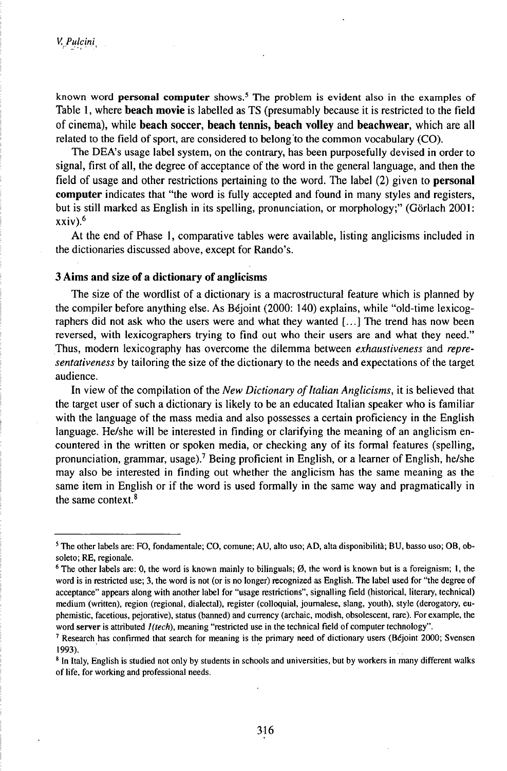known word **personal computer** shows.<sup>5</sup> The problem is evident also in the examples of Table 1, where **beach movie** is labelled as TS (presumably because it is restricted to the field of cinema), while **beach soccer, beach tennis, beach volley** and **beachwear,** which are all related to the field of sport, are considered to belong to the common vocabulary (CO).

The DEA's usage label system, on the contrary, has been purposefully devised in order to signal, first of all, the degree of acceptance of the word in the general language, and then the field of usage and other restrictions pertaining to the word. The label (2) given to **personal computer** indicates that "the word is fully accepted and found in many styles and registers, but is still marked as English in its spelling, pronunciation, or morphology;" (Görlach 2001: xxiv).<sup>6</sup>

At the end of Phase 1, comparative tables were available, listing anglicisms included in the dictionaries discussed above, except for Rando's.

#### **3 Aims and size of a dictionary of anglicisms**

The size of the wordlist of a dictionary is a macrostructural feature which is planned by the compiler before anything else. As Béjoint (2000: 140) explains, while "old-time lexicographers did not ask who the users were and what they wanted [...] The trend has now been reversed, with lexicographers trying to find out who their users are and what they need." Thus, modern lexicography has overcome the dilemma between *exhaustiveness* and *representativeness* by tailoring the size of the dictionary to the needs and expectations of the target audience.

In view of the compilation of the *New Dictionary of Italian Anglicisms*, it is believed that the target user of such a dictionary is likely to be an educated Italian speaker who is familiar with the language of the mass media and also possesses a certain proficiency in the English language. He/she will be interested in finding or clarifying the meaning of an anglicism encountered in the written or spoken media, or checking any of its formal features (spelling, pronunciation, grammar, usage).<sup>7</sup> Being proficient in English, or a learner of English, he/she may also be interested in finding out whether the anglicism has the same meaning as the same item in English or if the word is used formally in the same way and pragmatically in the same context.<sup>8</sup>

<sup>5</sup> The other labels are: FO, fondamentale; CO, comune; AU, alto uso; AD, alta disponibilità; BU, basso uso; OB, obsoleto; RE, regionale.

<sup>&</sup>lt;sup>6</sup> The other labels are: 0, the word is known mainly to bilinguals;  $\emptyset$ , the word is known but is a foreignism; 1, the word is in restricted use; 3, the word is not (or is no longer) recognized as English. The label used for "the degree of acceptance" appears along with another label for "usage restrictions", signalling field (historical, literary, technical) medium (written), region (regional, dialectal), register (colloquial, journalese, slang, youth), style (derogatory, euphemistic, facetious, pejorative), status (banned) and currency (archaic, modish, obsolescent, rare). Forexample, the word server is attributed  $I(tech)$ , meaning "restricted use in the technical field of computer technology".

<sup>&</sup>lt;sup>7</sup> Research has confirmed that search for meaning is the primary need of dictionary users (Béjoint 2000; Svensen 1993).

<sup>&</sup>lt;sup>8</sup> In Italy, English is studied not only by students in schools and universities, but by workers in many different walks of life, for working and professional needs.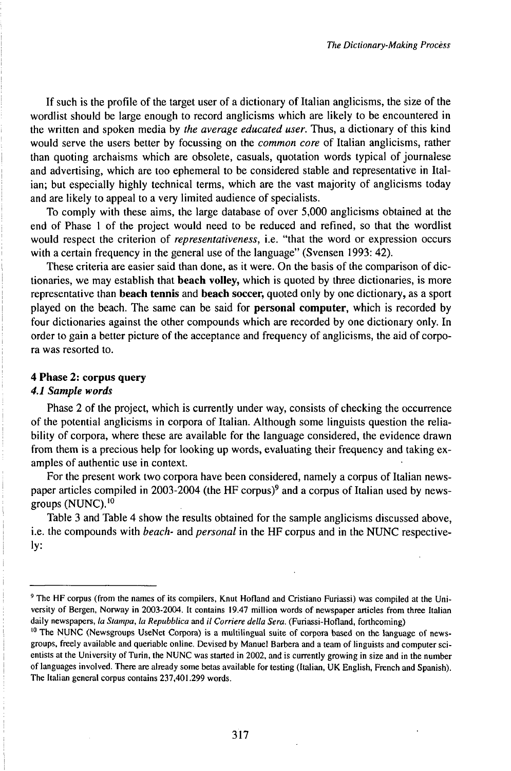If such is the profile of the target user of a dictionary of Italian anglicisms, the size of the wordlist should be large enough to record anglicisms which are likely to be encountered in the written and spoken media by *the average educated user.* Thus, a dictionary of this kind would serve the users better by focussing on the *common core* of Italian anglicisms, rather than quoting archaisms which are obsolete, casuals, quotation words typical of journalese and advertising, which are too ephemeral to be considered stable and representative in Italian; but especially highly technical terms, which are the vast majority of anglicisms today and are likely to appeal to a very limited audience of specialists.

To comply with these aims, the large database of over 5,000 anglicisms obtained at the end of Phase <sup>1</sup> of the project would need to be reduced and refined, so that the wordlist would respect the criterion of *representativeness,* i.e. "that the word or expression occurs with a certain frequency in the general use of the language" (Svensen 1993: 42).

These criteria are easier said than done, as it were. On the basis of the comparison of dictionaries, we may establish that **beach volley,** which is quoted by three dictionaries, is more representative than **beach tennis** and **beach soccer,** quoted only by one dictionary, as a sport played on the beach. The same can be said for **personal computer,** which is recorded by four dictionaries against the other compounds which are recorded by one dictionary only. In order to gain a better picture of the acceptance and frequency of anglicisms, the aid of corpora was resorted to.

#### **4 Phase 2: corpus query**

#### *4.1 Sample words*

Phase 2 of the project, which is currently under way, consists of checking the occurrence of the potential anglicisms in corpora of Italian. Although some linguists question the reliability of corpora, where these are available for the language considered, the evidence drawn from them is a precious help for looking up words, evaluating their frequency and taking examples of authentic use in context.

For the present work two corpora have been considered, namely a corpus of Italian newspaper articles compiled in 2003-2004 (the HF corpus)<sup>9</sup> and a corpus of Italian used by newsgroups  $(NUNC)$ .<sup>10</sup>

Table 3 and Table 4 show the results obtained for the sample anglicisms discussed above, i.e. the compounds with *beach-* and *personal* in the HF corpus and in the NUNC respectively:

<sup>9</sup> The HF corpus (from the names of its compilers, Knut Hofland and Cristiano Furiassi) was compiled at the University of Bergen, Norway in 2003-2004. It contains 19.47 million words of newspaper articles from three Italian daily newspapers, *la Stampa, la Repubblica* and *il Corriere della Sera.* (Furiassi-Hofland, forthcoming)

 $10$  The NUNC (Newsgroups UseNet Corpora) is a multilingual suite of corpora based on the language of newsgroups, freely available and queriable online. Devised by Manuel Barbera and a team of linguists and computer scientists at the University of Turin, the NUNC was started in 2002, and is currently growing in size and in the number of languages involved. There are already some betas available for testing (Italian, UK English, French and Spanish). The Italian general corpus contains 237,401.299 words.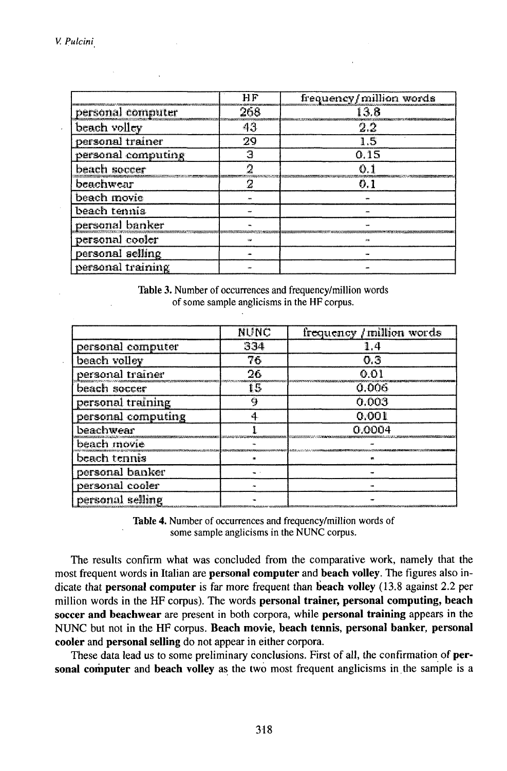|                    | HF  | frequency/million words |
|--------------------|-----|-------------------------|
| personal computer  | 268 | 13.8                    |
| beach volley       | 43  | 2.2                     |
| personal trainer   | 29  | 1.5                     |
| personal computing | Э   | 0.15                    |
| beach soccer       | O   | O 1                     |
| beachwear          | 17  | 0.1                     |
| beach movie        |     |                         |
| beach tennis       |     |                         |
| personal banker    |     |                         |
| personal cooler    |     |                         |
| personal selling   |     |                         |
| personal training  |     |                         |

Table 3. Number of occurrences and frequency/million words of some sample anglicisms in the HF corpus.

|                    | <b>NUNC</b> | frequency / million words |
|--------------------|-------------|---------------------------|
| personal computer  | 334         | 14                        |
| beach volley       | 76          | 0.3                       |
| personal trainer   | 26          | 0.01                      |
| beach soccer       | 15          | 0.006                     |
| personal training  | ą           | 0.003                     |
| personal computing | 4           | 0.001                     |
| beachwear          |             | 0.0004                    |
| beach movie        |             |                           |
| beach tennis       |             |                           |
| personal banker    |             |                           |
| personal cooler    |             |                           |
| personal selling   |             |                           |

Table 4. Number of occurrences and frequency/million words of some sample anglicisms in the NUNC corpus.

The results confirm what was concluded from the comparative work, namely that the most frequent words in Italian are **personal computer** and **beach volley.** The figures also indicate that **personal computer** is far more frequent than **beach volley** (13.8 against 2.2 per million words in the HF corpus). The words **personal trainer, personal computing, beach soccer and beachwear** are present in both corpora, while **personal training** appears in the NUNC but not in the HF corpus. **Beach movie, beach tennis, personal banker, personal cooler** and **personal selling** do not appear in either corpora.

These data lead us to some preliminary conclusions. First of all, the confirmation of **personal computer** and **beach volley** as the two most frequent anglicisms inthe sample is a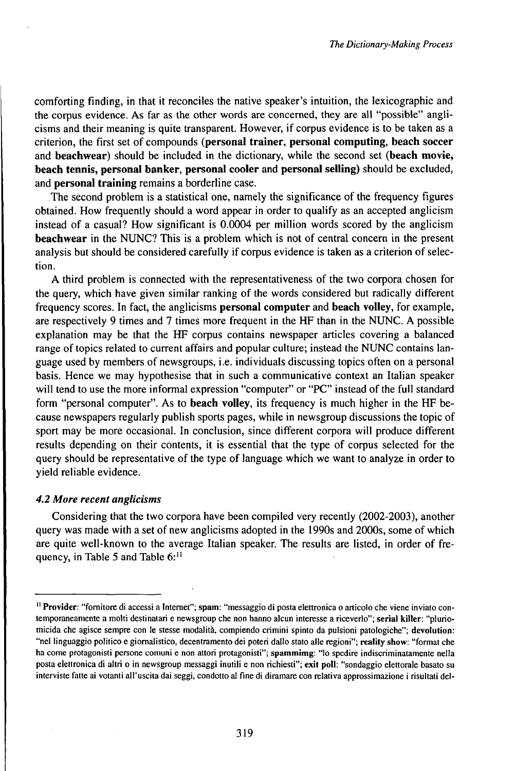comforting finding, in that it reconciles the native speaker's intuition, the lexicographic and the corpus evidence. As far as the other words are concerned, they are all "possible" anglicisms and their meaning is quite transparent. However, if corpus evidence is to be taken as a criterion, the first set of compounds **(personal trainer, personal computing, beach soccer** and **beachwear)** should be included in the dictionary, while the second set **(beach movie, beach tennis, personal banker, personal cooler** and **personal selling)** should be excluded, and **personal training** remains a borderline case.

The second problem is a statistical one, namely the significance of the frequency figures obtained. How frequently should a word appear in order to qualify as an accepted anglicism instead of a casual? How significant is 0.0004 per million words scored by the anglicism **beachwear** in the NUNC? This is a problem which is not of central concern in the present analysis but should be considered carefully if corpus evidence is taken as a criterion of selection.

A third problem is connected with the representativeness of the two corpora chosen for the query, which have given similar ranking of the words considered but radically different frequency scores. In fact, the anglicisms **personal computer** and **beach volley,** for example, are respectively 9 times and 7 times more frequent in the HF than in the NUNC. A possible explanation may be that the HF corpus contains newspaper articles covering a balanced range oftopics related to current affairs and popular culture; instead the NUNC contains language used by members of newsgroups, i.e. individuals discussing topics often on a personal basis. Hence we may hypothesise that in such a communicative context an Italian speaker will tend to use the more informal expression "computer" or "PC" instead of the full standard form "personal computer". As to **beach volley,** its frequency is much higher in the HF because newspapers regularly publish sports pages, while in newsgroup discussions the topic of sport may be more occasional. In conclusion, since different corpora will produce different results depending on their contents, it is essential that the type of corpus selected for the query should be representative of the type of language which we want to analyze in order to yield reliable evidence.

#### *4.2 More recent anglicisms*

Considering that the two corpora have been compiled very recently (2002-2003), another query was made with a set of new anglicisms adopted in the 1990s and 2000s, some of which are quite well-known to the average Italian speaker. The results are listed, in order of frequency, in Table 5 and Table 6:<sup>11</sup>

<sup>11</sup> **Provider:** "fornitore di accessi a Internet"; **spam:** "messaggio di posta elettronica o articolo che viene inviato contemporaneamente a molti destinatari e newsgroup che non hanno alcun interesse a riceverlo"; **serial killer:** "pluriomicida che agisce sempre con le stesse modalità, compiendo crimini spinto da pulsioni patologiche"; **devolution:** "nel linguaggio politico e giornalistico, decentramento dei poteri dallo stato alle regioni"; **reality show:** "format che ha come protagonisti persone comuni e non attori protagonisti"; **spammimg:** "Io spedire indiscriminatamente nella posta elettronica di altri o in newsgroup messaggi inutili e non richiesti"; **exit poll:** "sondaggio elettorale basato su interviste fatte ai votanti all'uscita dai seggi, condotto aI fine di diramare con relativa approssimazione <sup>i</sup> risultati del-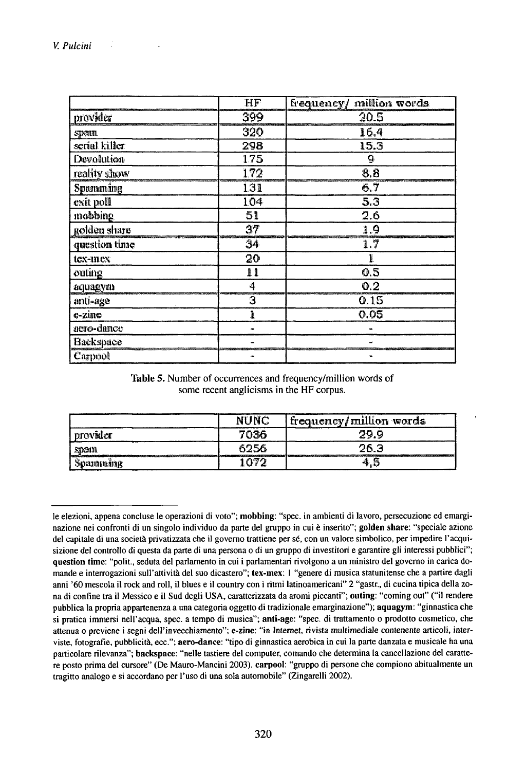|                  | HF  | frequency/ million words |
|------------------|-----|--------------------------|
| provider         | 399 | 20.5                     |
| spain.           | 320 | 16.4                     |
| scrial killer    | 298 | $15.\overline{3}$        |
| Devolution       | 175 | 9                        |
| reality show     | 172 | 8.8                      |
| Spomming         | 131 | 6.7                      |
| exit poll        | 104 | 5.3                      |
| mobbing          | 51  | 2.6                      |
| golden share     | 37  | 1.9                      |
| question time    | 34  | 1.7                      |
| tex-mex          | 20  | Ĩ.                       |
| outing           | 11  | 0.5                      |
| aquagym          | 4   | 0.2                      |
| anti-age         | з   | 0.15                     |
| $c$ -zin $c$     | ŀ   | 0.05                     |
| acro-dance       |     |                          |
| <b>Hackspace</b> |     |                          |
| Carpool          |     |                          |

Table 5. Number of occurrences and frequency/million words of some recent anglicisms in the HF corpus.

|                                                                                                                                                                                                                                             | NUNC          | frequency/million words                                                                                                        |
|---------------------------------------------------------------------------------------------------------------------------------------------------------------------------------------------------------------------------------------------|---------------|--------------------------------------------------------------------------------------------------------------------------------|
| provider                                                                                                                                                                                                                                    | 7036          | 29.9                                                                                                                           |
| .stan                                                                                                                                                                                                                                       | 6256          | 26.3<br>T ENNEGER ER STATER TELEVIZING ER ER ETT TELEVIZING TIL 1999 EN STATER TIL 1999 EN ETT TELEVIZING ER ETT TELEVIZING ER |
| The C.C. Professional Control of the Control of Control of Control of Control of Control of Control of Control of Control of Control of Control of Control of Control of Control of Control of Control of Control of Control o<br>SCENIDIUM | $\sim$ $\sim$ | -16, 15,                                                                                                                       |

le elezioni, appena concluse le operazioni di voto"; mobbing: "spec. in ambienti di lavoro, persecuzione ed emarginazione nei confronti di un singolo individuo da parte del gruppo in cui è inserito"; golden share: "speciale azione del capitale di una società privatizzata che il governo trattiene per sé, con un valore simbolico, per impedire l'acquisizione del controllo di questa da parte di una persona o di un gruppo di investitori e garantire gli interessi pubblici"; question time: "polit., seduta del parlamento in cui i parlamentari rivolgono a un ministro del governo in carica domande e interrogazioni sull'attività del suo dicastero"; tex-mex: 1 "genere di musica statunitense che a partire dagli anni '60 mescola il rock and roll, il blues e il country con i ritmi latinoamericani" 2 "gastr., di cucina tipica della zona di confine tra il Messico e il Sud degli USA, caratterizzata da aromi piccanti"; outing: "coming out" ("il rendere pubblica la propria appartenenza a una categoria oggetto di tradizionale emarginazione"); aquagym: "ginnastica che si pratica immersi nell'acqua, spec. a tempo di musica"; anti-age: "spec. di trattamento o prodotto cosmetico, che attenua o previene i segni dell'invecchiamento"; e-zine: "in Internet, rivista multimediale contenente articoli, interviste, fotografie, pubblicità, ecc."; aero-dance: "tipo di ginnastica aerobica in cui la parte danzata e musicale ha una particolare rilevanza"; backspace: "nelle tastiere del computer, comando che determina la cancellazione del carattere posto prima del cursore" (De Mauro-Mancini 2003). carpool: "gruppo di persone che compiono abitualmente un tragitto analogo e si accordano per l'uso di una sola automobile" (Zingarelli 2002).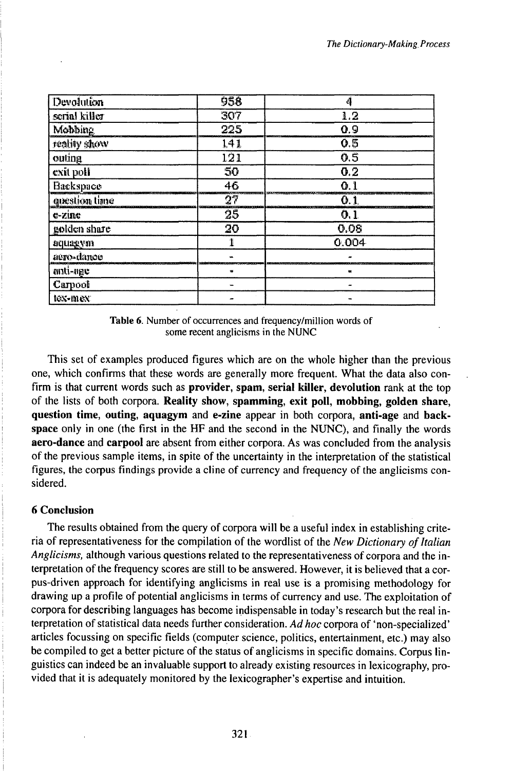| Devolution    | 958 | 4          |
|---------------|-----|------------|
| serial killer | 307 | 1.2        |
| Mobbing       | 225 | 0.9        |
| reality show  | 141 | Q,5        |
| outing        | 121 | 0.5        |
| exit poll     | 50  | 0.2        |
| Backspace     | 46  | $\Omega$ . |
| question time | 27  | 0.1        |
| $e$ - $z$ ine | 25  | 0.1        |
| golden share  | 20  | 0.08       |
| aquagym       |     | 0.004      |
| aero-dance    |     |            |
| anti-age      | 燃   | 鞦          |
| Carpool       |     |            |
| tex-mex       |     |            |

Table 6. Number of occurrences and frequency/million words of some recent anglicisms in the NUNC

This set of examples produced figures which are on the whole higher than the previous one, which confirms that these words are generally more frequent. What the data also confirm is that current words such as **provider**, spam, serial killer, devolution rank at the top of the lists of both corpora. Reality show, spamming, exit poll, mobbing, golden share, question time, outing, aquagym and e-zine appear in both corpora, anti-age and backspace only in one (the first in the HF and the second in the NUNC), and finally the words aero-dance and carpool are absent from either corpora. As was concluded from the analysis of the previous sample items, in spite of the uncertainty in the interpretation of the statistical figures, the corpus findings provide a cline of currency and frequency of the anglicisms considered.

#### **6 Conclusion**

The results obtained from the query of corpora will be a useful index in establishing criteria of representativeness for the compilation of the wordlist of the New Dictionary of Italian Anglicisms, although various questions related to the representativeness of corpora and the interpretation of the frequency scores are still to be answered. However, it is believed that a corpus-driven approach for identifying anglicisms in real use is a promising methodology for drawing up a profile of potential anglicisms in terms of currency and use. The exploitation of corpora for describing languages has become indispensable in today's research but the real interpretation of statistical data needs further consideration. Ad hoc corpora of 'non-specialized' articles focussing on specific fields (computer science, politics, entertainment, etc.) may also be compiled to get a better picture of the status of anglicisms in specific domains. Corpus linguistics can indeed be an invaluable support to already existing resources in lexicography, provided that it is adequately monitored by the lexicographer's expertise and intuition.